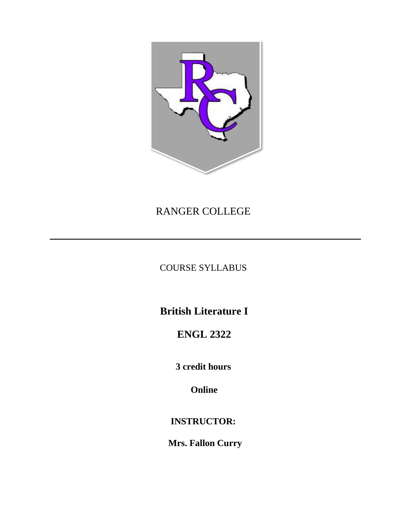

# RANGER COLLEGE

COURSE SYLLABUS

**British Literature I**

**ENGL 2322**

**3 credit hours** 

**Online**

**INSTRUCTOR:** 

 **Mrs. Fallon Curry**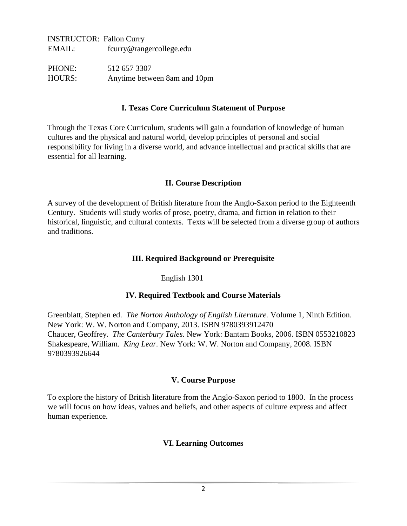INSTRUCTOR: Fallon Curry EMAIL: fcurry@rangercollege.edu

PHONE: 512 657 3307 HOURS: Anytime between 8am and 10pm

### **I. Texas Core Curriculum Statement of Purpose**

Through the Texas Core Curriculum, students will gain a foundation of knowledge of human cultures and the physical and natural world, develop principles of personal and social responsibility for living in a diverse world, and advance intellectual and practical skills that are essential for all learning.

## **II. Course Description**

A survey of the development of British literature from the Anglo-Saxon period to the Eighteenth Century. Students will study works of prose, poetry, drama, and fiction in relation to their historical, linguistic, and cultural contexts. Texts will be selected from a diverse group of authors and traditions.

#### **III. Required Background or Prerequisite**

## English 1301

## **IV. Required Textbook and Course Materials**

Greenblatt, Stephen ed. *The Norton Anthology of English Literature.* Volume 1, Ninth Edition. New York: W. W. Norton and Company, 2013. ISBN 9780393912470 Chaucer, Geoffrey. *The Canterbury Tales.* New York: Bantam Books, 2006. ISBN 0553210823 Shakespeare, William. *King Lear.* New York: W. W. Norton and Company, 2008. ISBN 9780393926644

#### **V. Course Purpose**

To explore the history of British literature from the Anglo-Saxon period to 1800. In the process we will focus on how ideas, values and beliefs, and other aspects of culture express and affect human experience.

## **VI. Learning Outcomes**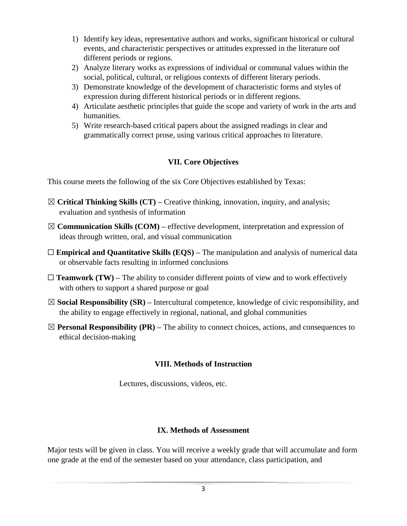- 1) Identify key ideas, representative authors and works, significant historical or cultural events, and characteristic perspectives or attitudes expressed in the literature oof different periods or regions.
- 2) Analyze literary works as expressions of individual or communal values within the social, political, cultural, or religious contexts of different literary periods.
- 3) Demonstrate knowledge of the development of characteristic forms and styles of expression during different historical periods or in different regions.
- 4) Articulate aesthetic principles that guide the scope and variety of work in the arts and humanities.
- 5) Write research-based critical papers about the assigned readings in clear and grammatically correct prose, using various critical approaches to literature.

# **VII. Core Objectives**

This course meets the following of the six Core Objectives established by Texas:

- ☒ **Critical Thinking Skills (CT) –** Creative thinking, innovation, inquiry, and analysis; evaluation and synthesis of information
- ☒ **Communication Skills (COM) –** effective development, interpretation and expression of ideas through written, oral, and visual communication
- □ **Empirical and Quantitative Skills (EQS)** The manipulation and analysis of numerical data or observable facts resulting in informed conclusions
- $\Box$  **Teamwork (TW)** The ability to consider different points of view and to work effectively with others to support a shared purpose or goal
- ☒ **Social Responsibility (SR) –** Intercultural competence, knowledge of civic responsibility, and the ability to engage effectively in regional, national, and global communities
- $\boxtimes$  **Personal Responsibility (PR)** The ability to connect choices, actions, and consequences to ethical decision-making

# **VIII. Methods of Instruction**

Lectures, discussions, videos, etc.

# **IX. Methods of Assessment**

Major tests will be given in class. You will receive a weekly grade that will accumulate and form one grade at the end of the semester based on your attendance, class participation, and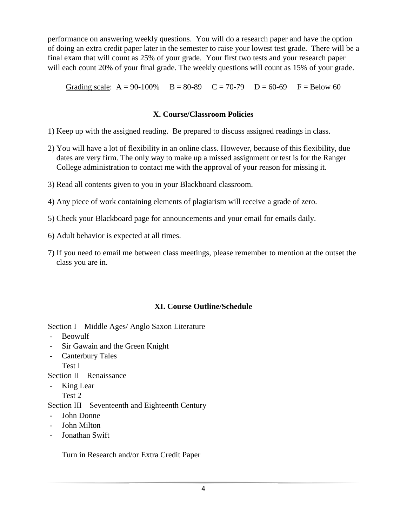performance on answering weekly questions. You will do a research paper and have the option of doing an extra credit paper later in the semester to raise your lowest test grade. There will be a final exam that will count as 25% of your grade. Your first two tests and your research paper will each count 20% of your final grade. The weekly questions will count as 15% of your grade.

Grading scale:  $A = 90-100\%$  B = 80-89 C = 70-79 D = 60-69 F = Below 60

# **X. Course/Classroom Policies**

- 1) Keep up with the assigned reading. Be prepared to discuss assigned readings in class.
- 2) You will have a lot of flexibility in an online class. However, because of this flexibility, due dates are very firm. The only way to make up a missed assignment or test is for the Ranger College administration to contact me with the approval of your reason for missing it.
- 3) Read all contents given to you in your Blackboard classroom.
- 4) Any piece of work containing elements of plagiarism will receive a grade of zero.
- 5) Check your Blackboard page for announcements and your email for emails daily.
- 6) Adult behavior is expected at all times.
- 7) If you need to email me between class meetings, please remember to mention at the outset the class you are in.

# **XI. Course Outline/Schedule**

Section I – Middle Ages/ Anglo Saxon Literature

- Beowulf
- Sir Gawain and the Green Knight
- Canterbury Tales Test I

Section II – Renaissance

- King Lear
	- Test 2

Section III – Seventeenth and Eighteenth Century

- John Donne
- John Milton
- Jonathan Swift

Turn in Research and/or Extra Credit Paper